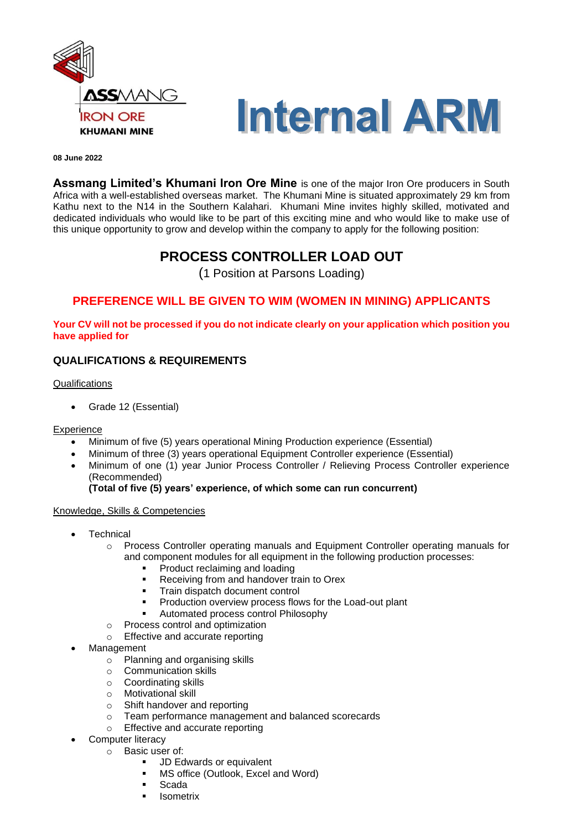



#### **08 June 2022**

**Assmang Limited's Khumani Iron Ore Mine** is one of the major Iron Ore producers in South Africa with a well-established overseas market. The Khumani Mine is situated approximately 29 km from Kathu next to the N14 in the Southern Kalahari. Khumani Mine invites highly skilled, motivated and dedicated individuals who would like to be part of this exciting mine and who would like to make use of this unique opportunity to grow and develop within the company to apply for the following position:

# **PROCESS CONTROLLER LOAD OUT**

(1 Position at Parsons Loading)

# **PREFERENCE WILL BE GIVEN TO WIM (WOMEN IN MINING) APPLICANTS**

**Your CV will not be processed if you do not indicate clearly on your application which position you have applied for**

# **QUALIFICATIONS & REQUIREMENTS**

**Qualifications** 

• Grade 12 (Essential)

#### Experience

- Minimum of five (5) years operational Mining Production experience (Essential)
- Minimum of three (3) years operational Equipment Controller experience (Essential)
- Minimum of one (1) year Junior Process Controller / Relieving Process Controller experience (Recommended)

## **(Total of five (5) years' experience, of which some can run concurrent)**

#### Knowledge, Skills & Competencies

- **Technical** 
	- o Process Controller operating manuals and Equipment Controller operating manuals for and component modules for all equipment in the following production processes:
		- Product reclaiming and loading
		- Receiving from and handover train to Orex
		- Train dispatch document control
		- Production overview process flows for the Load-out plant
		- Automated process control Philosophy
	- o Process control and optimization
	- o Effective and accurate reporting
- **Management** 
	- o Planning and organising skills
	- o Communication skills
	- o Coordinating skills
	- o Motivational skill
	- o Shift handover and reporting
	- o Team performance management and balanced scorecards
	- o Effective and accurate reporting
- **Computer literacy** 
	- o Basic user of:
		- JD Edwards or equivalent
		- MS office (Outlook, Excel and Word)
		- Scada
		- **Isometrix**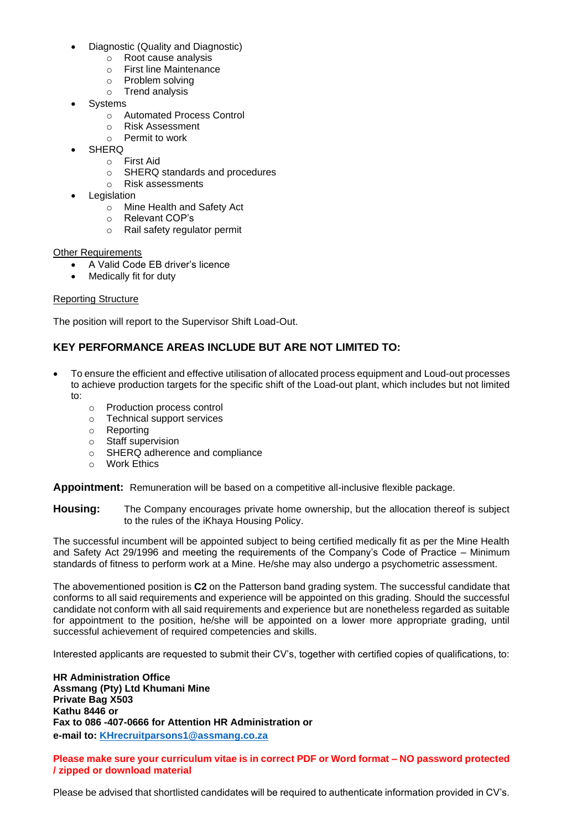- Diagnostic (Quality and Diagnostic)
	- o Root cause analysis
	- o First line Maintenance
	- o Problem solving
	- o Trend analysis
- **Systems** 
	- o Automated Process Control
	- o Risk Assessment
	- o Permit to work
- **SHERQ** 
	- o First Aid
	- o SHERQ standards and procedures
	- o Risk assessments
- **Legislation** 
	- o Mine Health and Safety Act
	- o Relevant COP's
	- o Rail safety regulator permit

## **Other Requirements**

- A Valid Code EB driver's licence
- Medically fit for duty

# Reporting Structure

The position will report to the Supervisor Shift Load-Out.

# **KEY PERFORMANCE AREAS INCLUDE BUT ARE NOT LIMITED TO:**

- To ensure the efficient and effective utilisation of allocated process equipment and Loud-out processes to achieve production targets for the specific shift of the Load-out plant, which includes but not limited to:
	- o Production process control
	- o Technical support services
	- o Reporting
	- o Staff supervision
	- o SHERQ adherence and compliance
	- o Work Ethics

**Appointment:** Remuneration will be based on a competitive all-inclusive flexible package.

**Housing:** The Company encourages private home ownership, but the allocation thereof is subject to the rules of the iKhaya Housing Policy.

The successful incumbent will be appointed subject to being certified medically fit as per the Mine Health and Safety Act 29/1996 and meeting the requirements of the Company's Code of Practice – Minimum standards of fitness to perform work at a Mine. He/she may also undergo a psychometric assessment.

The abovementioned position is **C2** on the Patterson band grading system. The successful candidate that conforms to all said requirements and experience will be appointed on this grading. Should the successful candidate not conform with all said requirements and experience but are nonetheless regarded as suitable for appointment to the position, he/she will be appointed on a lower more appropriate grading, until successful achievement of required competencies and skills.

Interested applicants are requested to submit their CV's, together with certified copies of qualifications, to:

**HR Administration Office Assmang (Pty) Ltd Khumani Mine Private Bag X503 Kathu 8446 or Fax to 086 -407-0666 for Attention HR Administration or e-mail to: [KHrecruitparsons1@assmang.co.za](mailto:KHrecruitparsons1@assmang.co.za)** 

**Please make sure your curriculum vitae is in correct PDF or Word format – NO password protected / zipped or download material**

Please be advised that shortlisted candidates will be required to authenticate information provided in CV's.